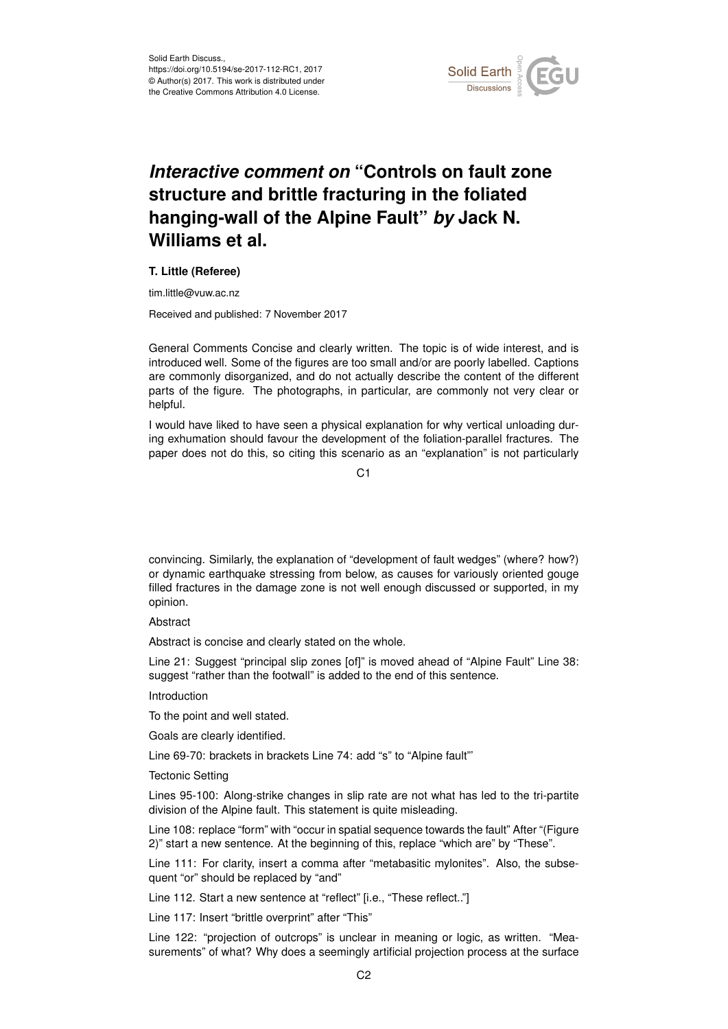

## *Interactive comment on* **"Controls on fault zone structure and brittle fracturing in the foliated hanging-wall of the Alpine Fault"** *by* **Jack N. Williams et al.**

## **T. Little (Referee)**

tim.little@vuw.ac.nz

Received and published: 7 November 2017

General Comments Concise and clearly written. The topic is of wide interest, and is introduced well. Some of the figures are too small and/or are poorly labelled. Captions are commonly disorganized, and do not actually describe the content of the different parts of the figure. The photographs, in particular, are commonly not very clear or helpful.

I would have liked to have seen a physical explanation for why vertical unloading during exhumation should favour the development of the foliation-parallel fractures. The paper does not do this, so citing this scenario as an "explanation" is not particularly

 $C<sub>1</sub>$ 

convincing. Similarly, the explanation of "development of fault wedges" (where? how?) or dynamic earthquake stressing from below, as causes for variously oriented gouge filled fractures in the damage zone is not well enough discussed or supported, in my opinion.

Abstract

Abstract is concise and clearly stated on the whole.

Line 21: Suggest "principal slip zones [of]" is moved ahead of "Alpine Fault" Line 38: suggest "rather than the footwall" is added to the end of this sentence.

Introduction

To the point and well stated.

Goals are clearly identified.

Line 69-70: brackets in brackets Line 74: add "s" to "Alpine fault"'

Tectonic Setting

Lines 95-100: Along-strike changes in slip rate are not what has led to the tri-partite division of the Alpine fault. This statement is quite misleading.

Line 108: replace "form" with "occur in spatial sequence towards the fault" After "(Figure 2)" start a new sentence. At the beginning of this, replace "which are" by "These".

Line 111: For clarity, insert a comma after "metabasitic mylonites". Also, the subsequent "or" should be replaced by "and"

Line 112. Start a new sentence at "reflect" [i.e., "These reflect.."]

Line 117: Insert "brittle overprint" after "This"

Line 122: "projection of outcrops" is unclear in meaning or logic, as written. "Measurements" of what? Why does a seemingly artificial projection process at the surface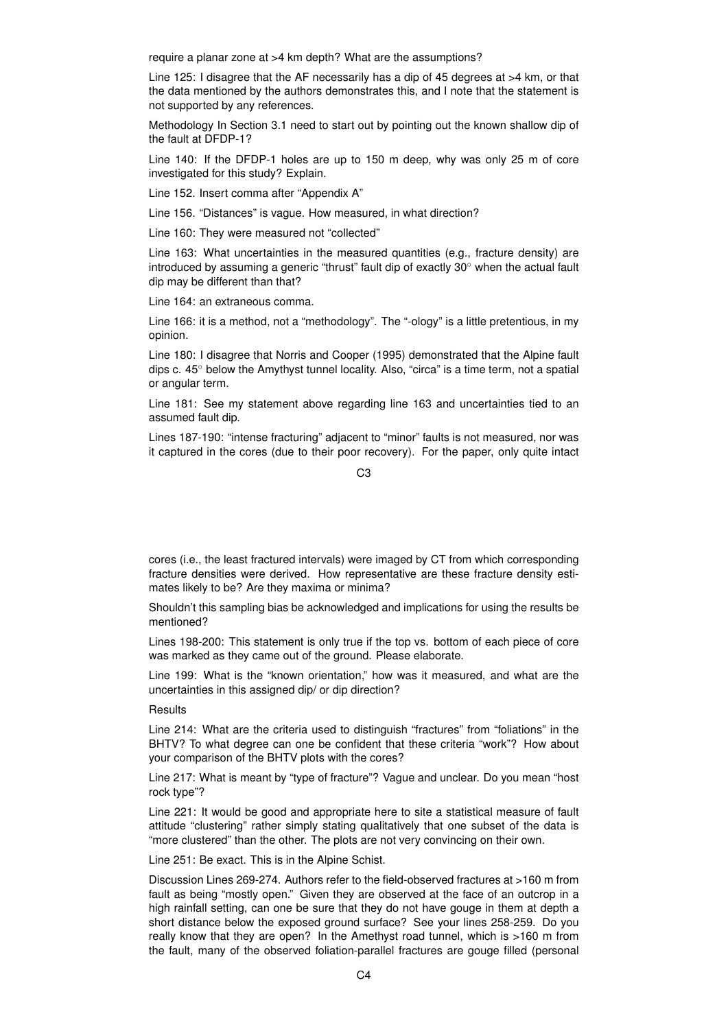require a planar zone at >4 km depth? What are the assumptions?

Line 125: I disagree that the AF necessarily has a dip of 45 degrees at >4 km, or that the data mentioned by the authors demonstrates this, and I note that the statement is not supported by any references.

Methodology In Section 3.1 need to start out by pointing out the known shallow dip of the fault at DFDP-1?

Line 140: If the DFDP-1 holes are up to 150 m deep, why was only 25 m of core investigated for this study? Explain.

Line 152. Insert comma after "Appendix A"

Line 156. "Distances" is vague. How measured, in what direction?

Line 160: They were measured not "collected"

Line 163: What uncertainties in the measured quantities (e.g., fracture density) are introduced by assuming a generic "thrust" fault dip of exactly 30◦ when the actual fault dip may be different than that?

Line 164: an extraneous comma.

Line 166: it is a method, not a "methodology". The "-ology" is a little pretentious, in my opinion.

Line 180: I disagree that Norris and Cooper (1995) demonstrated that the Alpine fault dips c. 45◦ below the Amythyst tunnel locality. Also, "circa" is a time term, not a spatial or angular term.

Line 181: See my statement above regarding line 163 and uncertainties tied to an assumed fault dip.

Lines 187-190: "intense fracturing" adjacent to "minor" faults is not measured, nor was it captured in the cores (due to their poor recovery). For the paper, only quite intact

 $C<sub>3</sub>$ 

cores (i.e., the least fractured intervals) were imaged by CT from which corresponding fracture densities were derived. How representative are these fracture density estimates likely to be? Are they maxima or minima?

Shouldn't this sampling bias be acknowledged and implications for using the results be mentioned?

Lines 198-200: This statement is only true if the top vs. bottom of each piece of core was marked as they came out of the ground. Please elaborate.

Line 199: What is the "known orientation," how was it measured, and what are the uncertainties in this assigned dip/ or dip direction?

**Results** 

Line 214: What are the criteria used to distinguish "fractures" from "foliations" in the BHTV? To what degree can one be confident that these criteria "work"? How about your comparison of the BHTV plots with the cores?

Line 217: What is meant by "type of fracture"? Vague and unclear. Do you mean "host rock type"?

Line 221: It would be good and appropriate here to site a statistical measure of fault attitude "clustering" rather simply stating qualitatively that one subset of the data is "more clustered" than the other. The plots are not very convincing on their own.

Line 251: Be exact. This is in the Alpine Schist.

Discussion Lines 269-274. Authors refer to the field-observed fractures at >160 m from fault as being "mostly open." Given they are observed at the face of an outcrop in a high rainfall setting, can one be sure that they do not have gouge in them at depth a short distance below the exposed ground surface? See your lines 258-259. Do you really know that they are open? In the Amethyst road tunnel, which is >160 m from the fault, many of the observed foliation-parallel fractures are gouge filled (personal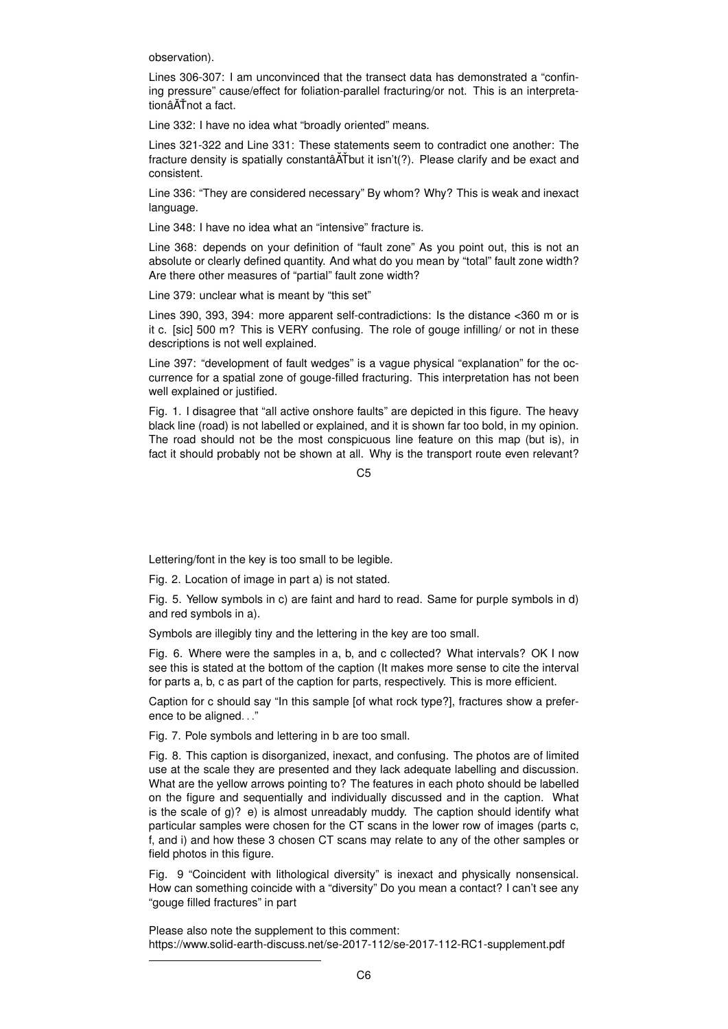observation).

Lines 306-307: I am unconvinced that the transect data has demonstrated a "confining pressure" cause/effect for foliation-parallel fracturing/or not. This is an interpretationâĂŤnot a fact.

Line 332: I have no idea what "broadly oriented" means.

Lines 321-322 and Line 331: These statements seem to contradict one another: The fracture density is spatially constantâ ATbut it isn't(?). Please clarify and be exact and consistent.

Line 336: "They are considered necessary" By whom? Why? This is weak and inexact language.

Line 348: I have no idea what an "intensive" fracture is.

Line 368: depends on your definition of "fault zone" As you point out, this is not an absolute or clearly defined quantity. And what do you mean by "total" fault zone width? Are there other measures of "partial" fault zone width?

Line 379: unclear what is meant by "this set"

Lines 390, 393, 394: more apparent self-contradictions: Is the distance <360 m or is it c. [sic] 500 m? This is VERY confusing. The role of gouge infilling/ or not in these descriptions is not well explained.

Line 397: "development of fault wedges" is a vague physical "explanation" for the occurrence for a spatial zone of gouge-filled fracturing. This interpretation has not been well explained or justified.

Fig. 1. I disagree that "all active onshore faults" are depicted in this figure. The heavy black line (road) is not labelled or explained, and it is shown far too bold, in my opinion. The road should not be the most conspicuous line feature on this map (but is), in fact it should probably not be shown at all. Why is the transport route even relevant?

 $C<sub>5</sub>$ 

Lettering/font in the key is too small to be legible.

Fig. 2. Location of image in part a) is not stated.

Fig. 5. Yellow symbols in c) are faint and hard to read. Same for purple symbols in d) and red symbols in a).

Symbols are illegibly tiny and the lettering in the key are too small.

Fig. 6. Where were the samples in a, b, and c collected? What intervals? OK I now see this is stated at the bottom of the caption (It makes more sense to cite the interval for parts a, b, c as part of the caption for parts, respectively. This is more efficient.

Caption for c should say "In this sample [of what rock type?], fractures show a preference to be aligned. . ."

Fig. 7. Pole symbols and lettering in b are too small.

Fig. 8. This caption is disorganized, inexact, and confusing. The photos are of limited use at the scale they are presented and they lack adequate labelling and discussion. What are the yellow arrows pointing to? The features in each photo should be labelled on the figure and sequentially and individually discussed and in the caption. What is the scale of  $g$ )? e) is almost unreadably muddy. The caption should identify what particular samples were chosen for the CT scans in the lower row of images (parts c, f, and i) and how these 3 chosen CT scans may relate to any of the other samples or field photos in this figure.

Fig. 9 "Coincident with lithological diversity" is inexact and physically nonsensical. How can something coincide with a "diversity" Do you mean a contact? I can't see any "gouge filled fractures" in part

Please also note the supplement to this comment: https://www.solid-earth-discuss.net/se-2017-112/se-2017-112-RC1-supplement.pdf